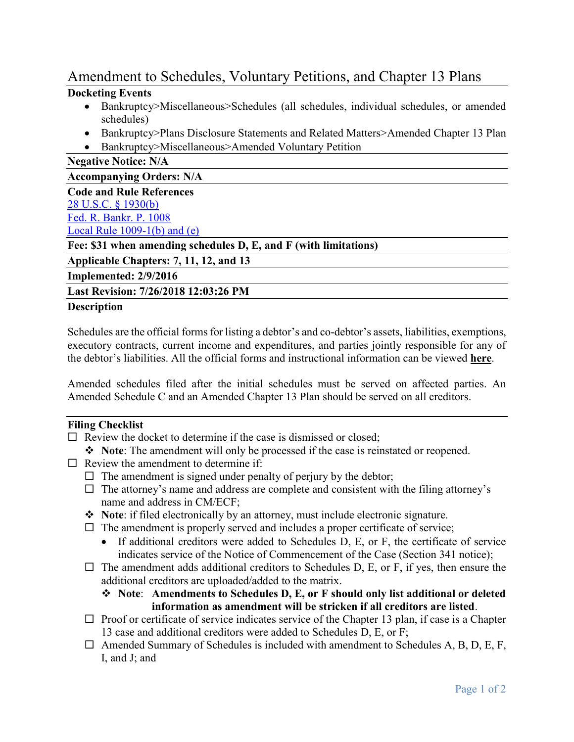## Amendment to Schedules, Voluntary Petitions, and Chapter 13 Plans

## **Docketing Events**

- Bankruptcy>Miscellaneous>Schedules (all schedules, individual schedules, or amended schedules)
- Bankruptcy>Plans Disclosure Statements and Related Matters>Amended Chapter 13 Plan
- Bankruptcy>Miscellaneous>Amended Voluntary Petition

**Negative Notice: N/A**

**Accompanying Orders: N/A**

| <b>Code and Rule References</b>                                  |
|------------------------------------------------------------------|
| <u>28 U.S.C. § 1930(b)</u>                                       |
| Fed. R. Bankr. P. 1008                                           |
| Local Rule $1009-1(b)$ and $(e)$                                 |
| Fee: \$31 when amending schedules D, E, and F (with limitations) |
| Applicable Chapters: 7, 11, 12, and 13                           |
| Implemented: 2/9/2016                                            |
| Last Revision: 7/26/2018 12:03:26 PM                             |

## **Description**

Schedules are the official forms for listing a debtor's and co-debtor's assets, liabilities, exemptions, executory contracts, current income and expenditures, and parties jointly responsible for any of the debtor's liabilities. All the official forms and instructional information can be viewed **[here](http://www.uscourts.gov/FormsAndFees/Forms/BankruptcyForms.aspx)**.

Amended schedules filed after the initial schedules must be served on affected parties. An Amended Schedule C and an Amended Chapter 13 Plan should be served on all creditors.

## **Filing Checklist**

- $\Box$  Review the docket to determine if the case is dismissed or closed;
	- ◆ **Note**: The amendment will only be processed if the case is reinstated or reopened.
- $\Box$  Review the amendment to determine if:
	- $\Box$  The amendment is signed under penalty of perjury by the debtor;
	- $\Box$  The attorney's name and address are complete and consistent with the filing attorney's name and address in CM/ECF;
	- **Note**: if filed electronically by an attorney, must include electronic signature.
	- $\Box$  The amendment is properly served and includes a proper certificate of service;
		- $\bullet$  If additional creditors were added to Schedules D, E, or F, the certificate of service indicates service of the Notice of Commencement of the Case (Section 341 notice);
	- $\Box$  The amendment adds additional creditors to Schedules D, E, or F, if yes, then ensure the additional creditors are uploaded/added to the matrix.
		- **Note**: **Amendments to Schedules D, E, or F should only list additional or deleted information as amendment will be stricken if all creditors are listed**.
	- $\Box$  Proof or certificate of service indicates service of the Chapter 13 plan, if case is a Chapter 13 case and additional creditors were added to Schedules D, E, or F;
	- $\Box$  Amended Summary of Schedules is included with amendment to Schedules A, B, D, E, F, I, and J; and